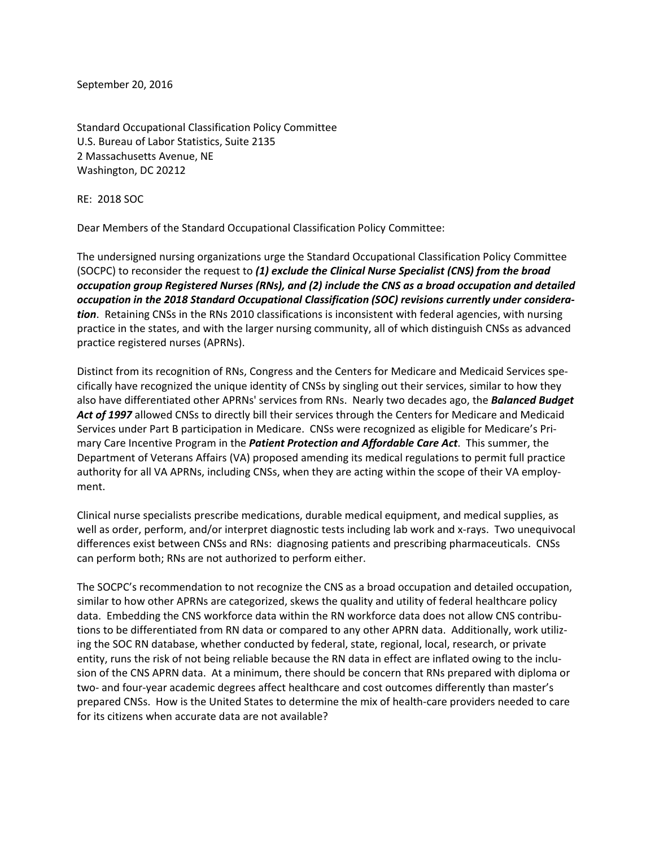September 20, 2016

Standard Occupational Classification Policy Committee U.S. Bureau of Labor Statistics, Suite 2135 2 Massachusetts Avenue, NE Washington, DC 20212

RE: 2018 SOC

Dear Members of the Standard Occupational Classification Policy Committee:

The undersigned nursing organizations urge the Standard Occupational Classification Policy Committee (SOCPC) to reconsider the request to *(1) exclude the Clinical Nurse Specialist (CNS) from the broad occupation group Registered Nurses (RNs), and (2) include the CNS as a broad occupation and detailed occupation in the 2018 Standard Occupational Classification (SOC) revisions currently under considera‐ tion*. Retaining CNSs in the RNs 2010 classifications is inconsistent with federal agencies, with nursing practice in the states, and with the larger nursing community, all of which distinguish CNSs as advanced practice registered nurses (APRNs).

Distinct from its recognition of RNs, Congress and the Centers for Medicare and Medicaid Services spe‐ cifically have recognized the unique identity of CNSs by singling out their services, similar to how they also have differentiated other APRNs' services from RNs. Nearly two decades ago, the *Balanced Budget Act of 1997* allowed CNSs to directly bill their services through the Centers for Medicare and Medicaid Services under Part B participation in Medicare. CNSs were recognized as eligible for Medicare's Pri‐ mary Care Incentive Program in the *Patient Protection and Affordable Care Act*. This summer, the Department of Veterans Affairs (VA) proposed amending its medical regulations to permit full practice authority for all VA APRNs, including CNSs, when they are acting within the scope of their VA employ‐ ment.

Clinical nurse specialists prescribe medications, durable medical equipment, and medical supplies, as well as order, perform, and/or interpret diagnostic tests including lab work and x-rays. Two unequivocal differences exist between CNSs and RNs: diagnosing patients and prescribing pharmaceuticals. CNSs can perform both; RNs are not authorized to perform either.

The SOCPC's recommendation to not recognize the CNS as a broad occupation and detailed occupation, similar to how other APRNs are categorized, skews the quality and utility of federal healthcare policy data. Embedding the CNS workforce data within the RN workforce data does not allow CNS contribu‐ tions to be differentiated from RN data or compared to any other APRN data. Additionally, work utiliz‐ ing the SOC RN database, whether conducted by federal, state, regional, local, research, or private entity, runs the risk of not being reliable because the RN data in effect are inflated owing to the inclusion of the CNS APRN data. At a minimum, there should be concern that RNs prepared with diploma or two- and four-year academic degrees affect healthcare and cost outcomes differently than master's prepared CNSs. How is the United States to determine the mix of health‐care providers needed to care for its citizens when accurate data are not available?